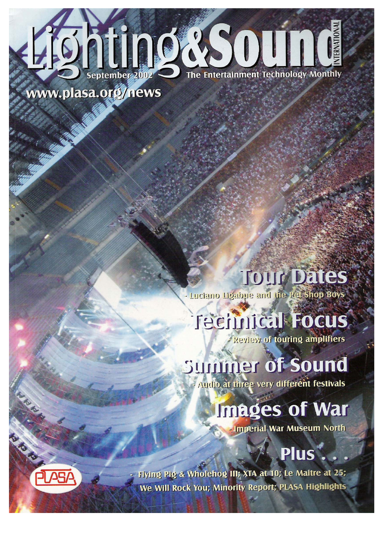

www.plasa.org/news

**Tour Dates** . Luciano Ligabue and the Pet Shop Boys

## **Technical Focus**

**Review of touring amplifiers** 

## Summer of Sound

Audio at three very different festivals

## **Images of War**

**Imperial War Museum North** 

## Plus

- Flying Pig & Wholehog III; XTA at 10; Le Maitre at 25; We Will Rock You; Minority Report; PLASA Highlights

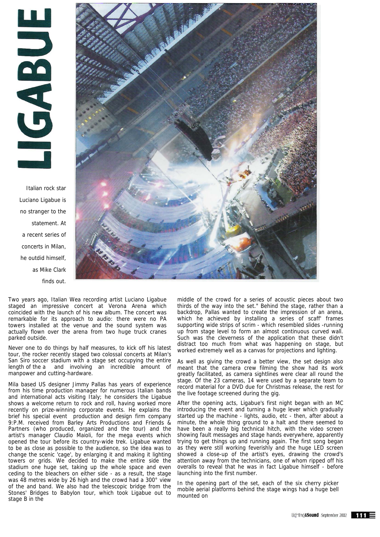ECCES

Italian rock star Luciano Ligabue is no stranger to the statement. At a recent series of concerts in Milan, he outdid himself, as Mike Clark finds out.



Two years ago, Italian Wea recording artist Luciano Ligabue staged an impressive concert at Verona Arena which coincided with the launch of his new album. The concert was remarkable for its approach to audio: there were no PA towers installed at the venue and the sound system was actually flown over the arena from two huge truck cranes parked outside.

Never one to do things by half measures, to kick off his latest tour, the rocker recently staged two colossal concerts at Milan's San Siro soccer stadium with a stage set occupying the entire length of the a and involving an incredible amount of manpower and cutting-hardware.

Mila based US designer Jimmy Pallas has years of experience from his time production manager for numerous Italian bands and international acts visiting Italy; he considers the Ligabue shows a welcome return to rock and roll, having worked more recently on prize-winning corporate events. He explains the brief his special event production and design firm company 9:P.M. received from Barley Arts Productions and Friends & Partners (who produced, organized and the tour) and the artist's manager Claudio Maioli, for the mega events which opened the tour before its country-wide trek. Ligabue wanted to be as close as possible to the audience, so the idea was to change the scenic 'cage', by enlarging it and making it lighting towers or grids. We decided to make the entire side the stadium one huge set, taking up the whole space and even ceding to the bleachers on either side - as a result, the stage was 48 metres wide by 26 high and the crowd had a 300° view of the and band. We also had the telescopic bridge from the Stones' Bridges to Babylon tour, which took Ligabue out to stage B in the

middle of the crowd for a series of acoustic pieces about two thirds of the way into the set." Behind the stage, rather than a backdrop, Pallas wanted to create the impression of an arena, which he achieved by installing a series of scaff' frames supporting wide strips of scrim - which resembled slides -running up from stage level to form an almost continuous curved wall. Such was the cleverness of the application that these didn't distract too much from what was happening on stage, but worked extremely well as a canvas for projections and lighting.

As well as giving the crowd a better view, the set design also meant that the camera crew filming the show had its work greatly facilitated, as camera sightlines were clear all round the stage. Of the 23 cameras, 14 were used by a separate team to record material for a DVD due for Christmas release, the rest for the live footage screened during the gig.

After the opening acts, Ligabue's first night began with an MC introducing the event and turning a huge lever which gradually started up the machine - lights, audio, etc - then, after about a minute, the whole thing ground to a halt and there seemed to have been a really big technical hitch, with the video screen showing fault messages and stage hands everywhere, apparently trying to get things up and running again. The first song began as they were still working feverishly and the huge LED screen showed a close-up of the artist's eyes, drawing the crowd's attention away from the technicians, one of whom ripped off his overalls to reveal that he was in fact Ligabue himself - before launching into the first number.

In the opening part of the set, each of the six cherry picker mobile aerial platforms behind the stage wings had a huge bell mounted on